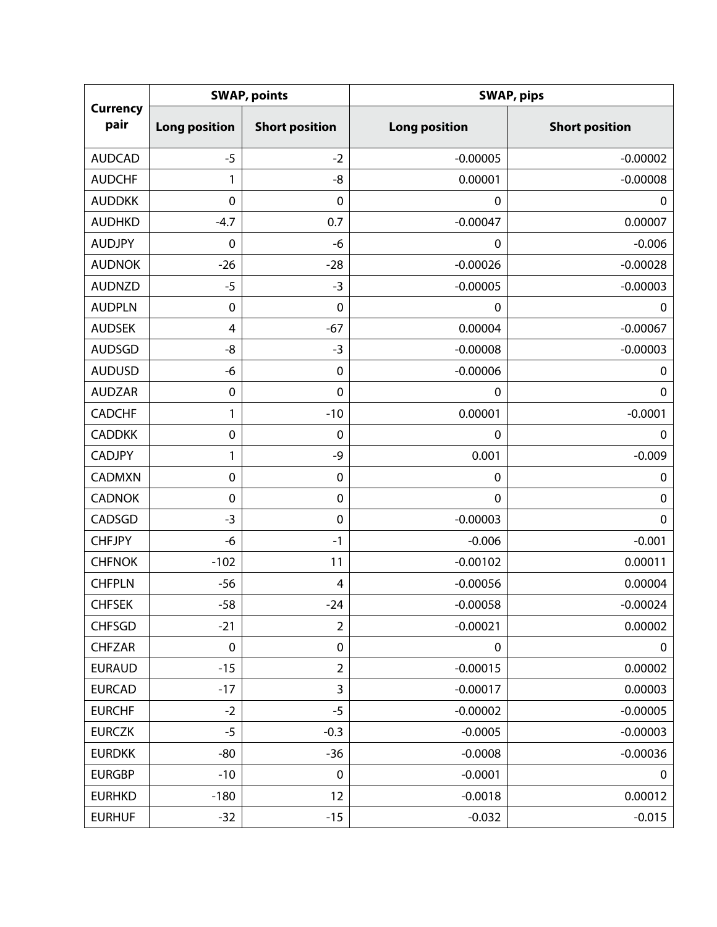| <b>Currency</b><br>pair | <b>SWAP, points</b>  |                         | <b>SWAP, pips</b>    |                       |  |
|-------------------------|----------------------|-------------------------|----------------------|-----------------------|--|
|                         | <b>Long position</b> | <b>Short position</b>   | <b>Long position</b> | <b>Short position</b> |  |
| <b>AUDCAD</b>           | $-5$                 | $-2$                    | $-0.00005$           | $-0.00002$            |  |
| <b>AUDCHF</b>           | 1                    | -8                      | 0.00001              | $-0.00008$            |  |
| <b>AUDDKK</b>           | $\mathbf 0$          | $\mathbf 0$             | $\mathbf 0$          | $\mathbf 0$           |  |
| <b>AUDHKD</b>           | $-4.7$               | 0.7                     | $-0.00047$           | 0.00007               |  |
| <b>AUDJPY</b>           | $\mathbf 0$          | -6                      | 0                    | $-0.006$              |  |
| <b>AUDNOK</b>           | $-26$                | $-28$                   | $-0.00026$           | $-0.00028$            |  |
| <b>AUDNZD</b>           | $-5$                 | $-3$                    | $-0.00005$           | $-0.00003$            |  |
| <b>AUDPLN</b>           | $\mathbf 0$          | $\mathbf 0$             | 0                    | $\pmb{0}$             |  |
| <b>AUDSEK</b>           | 4                    | $-67$                   | 0.00004              | $-0.00067$            |  |
| <b>AUDSGD</b>           | -8                   | $-3$                    | $-0.00008$           | $-0.00003$            |  |
| <b>AUDUSD</b>           | $-6$                 | $\pmb{0}$               | $-0.00006$           | $\pmb{0}$             |  |
| <b>AUDZAR</b>           | $\pmb{0}$            | $\mathbf 0$             | $\mathbf 0$          | $\mathbf 0$           |  |
| <b>CADCHF</b>           | 1                    | $-10$                   | 0.00001              | $-0.0001$             |  |
| <b>CADDKK</b>           | $\pmb{0}$            | $\mathbf 0$             | $\mathbf 0$          | $\pmb{0}$             |  |
| <b>CADJPY</b>           | 1                    | -9                      | 0.001                | $-0.009$              |  |
| CADMXN                  | $\mathbf 0$          | $\pmb{0}$               | $\mathbf 0$          | $\pmb{0}$             |  |
| <b>CADNOK</b>           | $\mathbf 0$          | $\pmb{0}$               | $\mathbf 0$          | $\pmb{0}$             |  |
| CADSGD                  | $-3$                 | $\pmb{0}$               | $-0.00003$           | $\mathbf 0$           |  |
| <b>CHFJPY</b>           | -6                   | $-1$                    | $-0.006$             | $-0.001$              |  |
| <b>CHFNOK</b>           | $-102$               | 11                      | $-0.00102$           | 0.00011               |  |
| <b>CHFPLN</b>           | $-56$                | 4                       | $-0.00056$           | 0.00004               |  |
| <b>CHFSEK</b>           | $-58$                | $-24$                   | $-0.00058$           | $-0.00024$            |  |
| <b>CHFSGD</b>           | $-21$                | $\overline{2}$          | $-0.00021$           | 0.00002               |  |
| <b>CHFZAR</b>           | $\pmb{0}$            | $\pmb{0}$               | $\boldsymbol{0}$     | $\mathbf 0$           |  |
| <b>EURAUD</b>           | $-15$                | $\overline{2}$          | $-0.00015$           | 0.00002               |  |
| <b>EURCAD</b>           | $-17$                | $\overline{\mathbf{3}}$ | $-0.00017$           | 0.00003               |  |
| <b>EURCHF</b>           | $-2$                 | $-5$                    | $-0.00002$           | $-0.00005$            |  |
| <b>EURCZK</b>           | $-5$                 | $-0.3$                  | $-0.0005$            | $-0.00003$            |  |
| <b>EURDKK</b>           | -80                  | $-36$                   | $-0.0008$            | $-0.00036$            |  |
| <b>EURGBP</b>           | $-10$                | $\pmb{0}$               | $-0.0001$            | 0                     |  |
| <b>EURHKD</b>           | $-180$               | 12                      | $-0.0018$            | 0.00012               |  |
| <b>EURHUF</b>           | $-32$                | $-15$                   | $-0.032$             | $-0.015$              |  |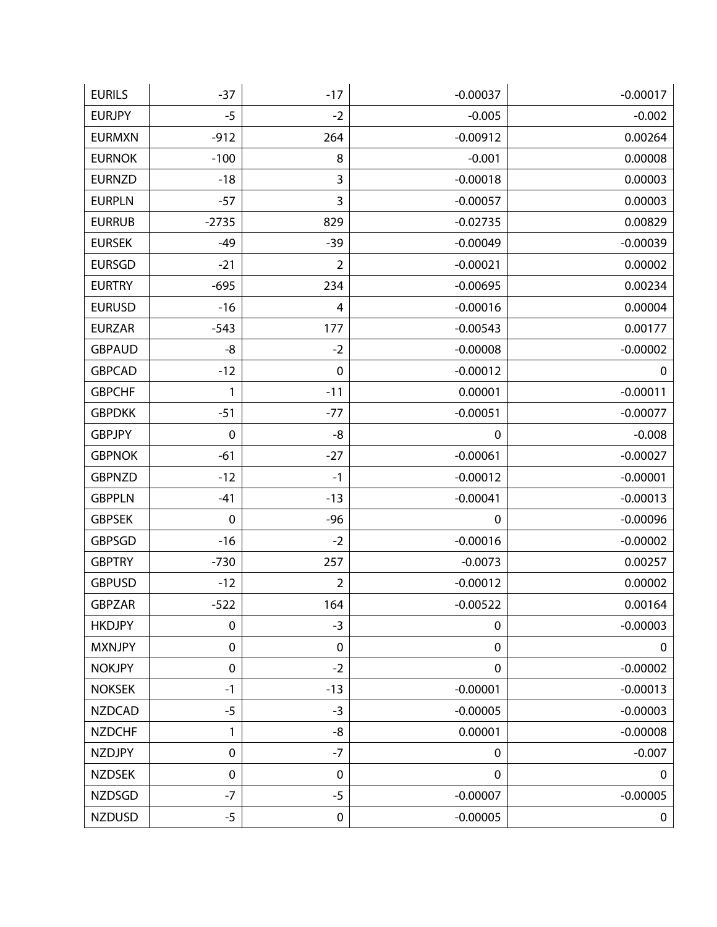| <b>EURILS</b> | $-37$        | $-17$          | $-0.00037$       | $-0.00017$  |
|---------------|--------------|----------------|------------------|-------------|
| <b>EURJPY</b> | $-5$         | $-2$           | $-0.005$         | $-0.002$    |
| <b>EURMXN</b> | $-912$       | 264            | $-0.00912$       | 0.00264     |
| <b>EURNOK</b> | $-100$       | 8              | $-0.001$         | 0.00008     |
| <b>EURNZD</b> | $-18$        | 3              | $-0.00018$       | 0.00003     |
| <b>EURPLN</b> | $-57$        | 3              | $-0.00057$       | 0.00003     |
| <b>EURRUB</b> | $-2735$      | 829            | $-0.02735$       | 0.00829     |
| <b>EURSEK</b> | $-49$        | $-39$          | $-0.00049$       | $-0.00039$  |
| <b>EURSGD</b> | $-21$        | $\overline{2}$ | $-0.00021$       | 0.00002     |
| <b>EURTRY</b> | $-695$       | 234            | $-0.00695$       | 0.00234     |
| <b>EURUSD</b> | $-16$        | 4              | $-0.00016$       | 0.00004     |
| <b>EURZAR</b> | $-543$       | 177            | $-0.00543$       | 0.00177     |
| <b>GBPAUD</b> | -8           | $-2$           | $-0.00008$       | $-0.00002$  |
| <b>GBPCAD</b> | $-12$        | $\pmb{0}$      | $-0.00012$       | $\pmb{0}$   |
| <b>GBPCHF</b> | $\mathbf{1}$ | $-11$          | 0.00001          | $-0.00011$  |
| <b>GBPDKK</b> | $-51$        | $-77$          | $-0.00051$       | $-0.00077$  |
| <b>GBPJPY</b> | $\mathbf 0$  | -8             | $\mathbf 0$      | $-0.008$    |
| <b>GBPNOK</b> | $-61$        | $-27$          | $-0.00061$       | $-0.00027$  |
| <b>GBPNZD</b> | $-12$        | $-1$           | $-0.00012$       | $-0.00001$  |
| <b>GBPPLN</b> | $-41$        | $-13$          | $-0.00041$       | $-0.00013$  |
| <b>GBPSEK</b> | $\pmb{0}$    | $-96$          | $\boldsymbol{0}$ | $-0.00096$  |
| <b>GBPSGD</b> | $-16$        | $-2$           | $-0.00016$       | $-0.00002$  |
| <b>GBPTRY</b> | $-730$       | 257            | $-0.0073$        | 0.00257     |
| <b>GBPUSD</b> | $-12$        | $\overline{2}$ | $-0.00012$       | 0.00002     |
| <b>GBPZAR</b> | $-522$       | 164            | $-0.00522$       | 0.00164     |
| <b>HKDJPY</b> | $\pmb{0}$    | $-3$           | $\pmb{0}$        | $-0.00003$  |
| <b>MXNJPY</b> | $\pmb{0}$    | $\pmb{0}$      | $\boldsymbol{0}$ | $\mathbf 0$ |
| <b>NOKJPY</b> | $\pmb{0}$    | $-2$           | $\boldsymbol{0}$ | $-0.00002$  |
| <b>NOKSEK</b> | $-1$         | $-13$          | $-0.00001$       | $-0.00013$  |
| <b>NZDCAD</b> | $-5$         | $-3$           | $-0.00005$       | $-0.00003$  |
| <b>NZDCHF</b> | 1            | -8             | 0.00001          | $-0.00008$  |
| <b>NZDJPY</b> | $\pmb{0}$    | $-7$           | 0                | $-0.007$    |
| <b>NZDSEK</b> | $\mathbf 0$  | $\pmb{0}$      | 0                | 0           |
| <b>NZDSGD</b> | $-7$         | $-5$           | $-0.00007$       | $-0.00005$  |
| <b>NZDUSD</b> | $-5$         | $\pmb{0}$      | $-0.00005$       | $\pmb{0}$   |